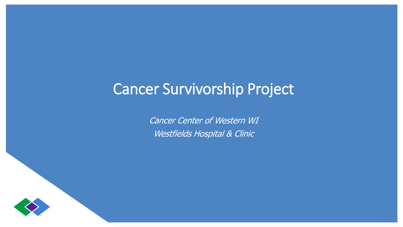# Cancer Survivorship Project

Cancer Center of Western WI Westfields Hospital & Clinic

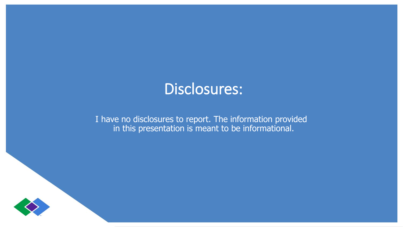# Disclosures:

I have no disclosures to report. The information provided in this presentation is meant to be informational.

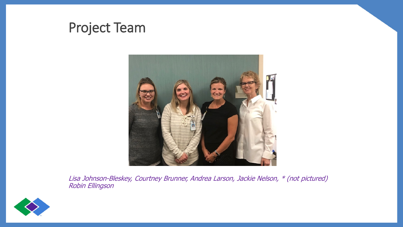### Project Team



Lisa Johnson-Bleskey, Courtney Brunner, Andrea Larson, Jackie Nelson, \* (not pictured) Robin Ellingson

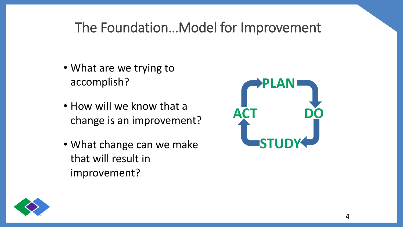## The Foundation…Model for Improvement

- What are we trying to accomplish?
- How will we know that a change is an improvement?
- What change can we make that will result in improvement?



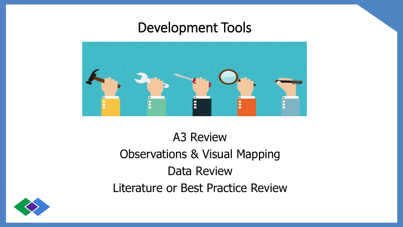### Development Tools



# A3 Review Observations & Visual Mapping Data Review Literature or Best Practice Review

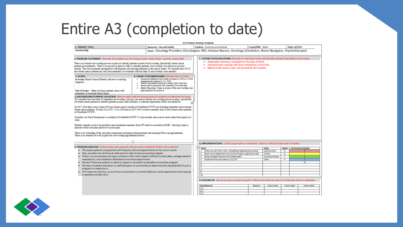# Entire A3 (completion to date)

|                                                                                                                                                                                                                                                                                                                                                                                                                                                                                                                                                                                                                                                                                                                                                                                                                                                                 |                                                                                                                                                                                                                                                                                                                                          |           | A3 Problem Solving Template                                                                                                                                                                                                                                                                                                                                                                                                                                                              |                 |                                                                             |                                                                     |                                               |
|-----------------------------------------------------------------------------------------------------------------------------------------------------------------------------------------------------------------------------------------------------------------------------------------------------------------------------------------------------------------------------------------------------------------------------------------------------------------------------------------------------------------------------------------------------------------------------------------------------------------------------------------------------------------------------------------------------------------------------------------------------------------------------------------------------------------------------------------------------------------|------------------------------------------------------------------------------------------------------------------------------------------------------------------------------------------------------------------------------------------------------------------------------------------------------------------------------------------|-----------|------------------------------------------------------------------------------------------------------------------------------------------------------------------------------------------------------------------------------------------------------------------------------------------------------------------------------------------------------------------------------------------------------------------------------------------------------------------------------------------|-----------------|-----------------------------------------------------------------------------|---------------------------------------------------------------------|-----------------------------------------------|
| 1. PROJECT TITLE:                                                                                                                                                                                                                                                                                                                                                                                                                                                                                                                                                                                                                                                                                                                                                                                                                                               | Sponsors: Lisa and Jackie                                                                                                                                                                                                                                                                                                                |           | Leaders: Courtney and Andrea                                                                                                                                                                                                                                                                                                                                                                                                                                                             | Coach/PM: Robin |                                                                             | Date: 6/3/19                                                        |                                               |
| Survivorship                                                                                                                                                                                                                                                                                                                                                                                                                                                                                                                                                                                                                                                                                                                                                                                                                                                    | Team: Oncology Providers (Oncologists, NP), Infusion Nurses, Oncology Schedulers, Nurse Navigator, Psychotherapist                                                                                                                                                                                                                       |           |                                                                                                                                                                                                                                                                                                                                                                                                                                                                                          |                 |                                                                             |                                                                     |                                               |
| 2. PROBLEM STATEMENT: Describe the problem you are trying to solve. Keep it clear, succinct, measurable<br>There is no formal survivorship process in place to identify patients in need of survivorship. Specifically breast cancer<br>patients post treatment. There is no process in place to refer or schedule patients. Survivorship visit objectives are also<br>unclear. This leaves patients unsupported with frequent calls and appointments to the cancer center. We currently have 30-35<br>new breast cancer patients per vear (non-metastatic or recurrent) with less than 10 survivorship visits annually.<br>3. SCOPE:<br>4: TARGET STATEMENT/AIMS Describe X by Y in Z time                                                                                                                                                                     |                                                                                                                                                                                                                                                                                                                                          |           | 7. FUTURE STATE/SOLUTIONS: Describe or map future state and identify solutions that address root causes<br>· Stakeholder Meeting is scheduled on Thursday 9/19/19.<br>. Individual team meeting with Nurse Practitioner on 9/17/19.<br>· Referral Order exists in Epic- not yet built for WF Location                                                                                                                                                                                    |                 |                                                                             |                                                                     |                                               |
| In Scope: Breast Cancer Patients with new or existing<br>diagnosis<br>Out of Scope: Other oncology patients, those with<br>metastatic or recurrent breast cancer<br>5. BACKGROUND/CURRENT SITUATION Observe and/or map the current process or condition to understand the issues<br>We currently have less than 10 identified survivorship visits per year and no formal survivorship process in place, specifically                                                                                                                                                                                                                                                                                                                                                                                                                                            | Increase the offering of survivorship care plans by 100% by 12/2020.<br>Implement pilot program by 11/1/2019.<br>Identify what patients should get a referral 100% of the time.<br>Ensure order is placed and visits scheduled 100% of the time.<br>Entire Oncology Team is aware of the survivorship care<br>plan and how to access it. |           |                                                                                                                                                                                                                                                                                                                                                                                                                                                                                          |                 |                                                                             |                                                                     |                                               |
| for breast cancer patients to identify patients in need, refer/schedule, or what the expectation of the visit should be.<br>In 2017-2018 there were a total of 63 new breast cancer consults at Westfields/CCWW not including metastatic and recurrent<br>breast cancer patients. We had 32 in 2017, 31 in 2018 and as of 07/2019 we have currently seen 16 new breast cancer patients<br>at Westfields CCWW.                                                                                                                                                                                                                                                                                                                                                                                                                                                   |                                                                                                                                                                                                                                                                                                                                          |           |                                                                                                                                                                                                                                                                                                                                                                                                                                                                                          |                 |                                                                             |                                                                     |                                               |
| Currently our Nurse Practitioner is available at Westfields/CCWW 3-4 days/month, and is never onsite when Oncologist is in<br>clinic.                                                                                                                                                                                                                                                                                                                                                                                                                                                                                                                                                                                                                                                                                                                           |                                                                                                                                                                                                                                                                                                                                          |           |                                                                                                                                                                                                                                                                                                                                                                                                                                                                                          |                 |                                                                             |                                                                     |                                               |
| Patients currently receive an excellent cancer treatment summary from NP which is accessible in EMR. Oncology team is<br>unaware of this care plan and how to access plan.                                                                                                                                                                                                                                                                                                                                                                                                                                                                                                                                                                                                                                                                                      |                                                                                                                                                                                                                                                                                                                                          |           |                                                                                                                                                                                                                                                                                                                                                                                                                                                                                          |                 |                                                                             |                                                                     |                                               |
| There is no ownership of the care plan components including tracking patients and ensuring follow-up appointments.<br>There is no standard of work in place for survivorship appointment process.                                                                                                                                                                                                                                                                                                                                                                                                                                                                                                                                                                                                                                                               |                                                                                                                                                                                                                                                                                                                                          |           |                                                                                                                                                                                                                                                                                                                                                                                                                                                                                          |                 |                                                                             |                                                                     |                                               |
|                                                                                                                                                                                                                                                                                                                                                                                                                                                                                                                                                                                                                                                                                                                                                                                                                                                                 |                                                                                                                                                                                                                                                                                                                                          |           | 8. IMPLEMENTATION: List the major tasks or milestones. Attach or link full project plan if needed.                                                                                                                                                                                                                                                                                                                                                                                       |                 |                                                                             |                                                                     |                                               |
| 6. PROBLEM ANALYSIS: What are the root causes for the key issues identified? What is the evidence?<br>This leaves patients unsupported with frequent calls and appointments to the cancer center.<br>Also, providers do not know at what point to refer to the survivorship program.<br>There is no survivorship visit type currently in EPIC which makes it difficult to track data, manage patient's<br>expectations, and schedule a dedicated survivorship appointment.<br>We don't have any systems in place to support a successful sustainable survivorship program.<br>We have no patient education or staff education on survivorship to determine the value/benefit of such a<br>program to create buy-in.<br>CPT codes are unknown, so as of now survivorship is currently billed as a revisit appointment and requires<br>a separate provider visit. |                                                                                                                                                                                                                                                                                                                                          | <b>CO</b> | <b>MHAT</b><br>1. Follow-up with Vicki in Rev. Cycle/Billing regarding this process<br>2.<br>Reach out to Health East Survivorship Program regarding model<br>$\mathbf{a}$<br>Review/Update Fishbone with Stakeholders<br>Implement Pilot start date on 11/1/19<br>4.<br>5<br>6.<br>$\overline{ }$<br>4.<br>$\overline{3}$<br>10<br>9: FOLLOW UP: How do you plan to sustain the gains? What are the three key metrics? Include pilot metrics is applicable<br><b>Key Measures</b><br>1. | Baseline        | WHO.<br>Lisa/Courtney<br>Andrea<br>Courtney/Andrea<br>Team<br>(insert date) | WHEN  <br>G<br>$\overline{a}$<br>$\mathbf{v}$<br>R<br>(insert date) | STATUS (R/Y/G/B/W)<br>G<br>w<br>(insert date) |
|                                                                                                                                                                                                                                                                                                                                                                                                                                                                                                                                                                                                                                                                                                                                                                                                                                                                 |                                                                                                                                                                                                                                                                                                                                          |           | $\overline{z}$<br>3.                                                                                                                                                                                                                                                                                                                                                                                                                                                                     |                 |                                                                             |                                                                     |                                               |

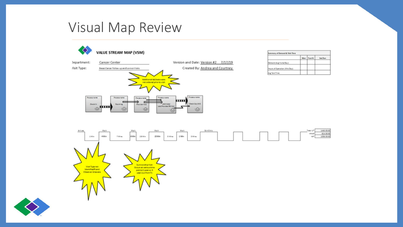### Visual Map Review



| <b>Summary of Demand &amp; Teld Time</b> |  |             |                 |  |  |  |
|------------------------------------------|--|-------------|-----------------|--|--|--|
|                                          |  | Man Tue-fri | <b>Saturnal</b> |  |  |  |
| Demand (Avg Visits/Day):                 |  |             |                 |  |  |  |
| Hours of Operation (Min/Osu):            |  |             |                 |  |  |  |
| kig Takt Time                            |  |             |                 |  |  |  |



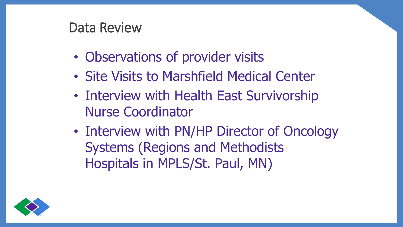#### Data Review

- Observations of provider visits
- Site Visits to Marshfield Medical Center
- Interview with Health East Survivorship Nurse Coordinator
- Interview with PN/HP Director of Oncology Systems (Regions and Methodists Hospitals in MPLS/St. Paul, MN)

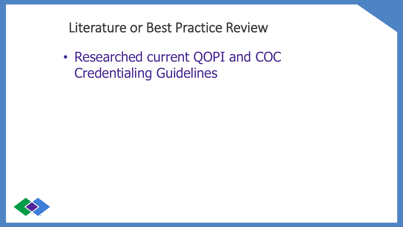Literature or Best Practice Review

• Researched current QOPI and COC Credentialing Guidelines

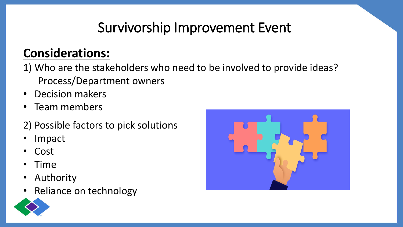# Survivorship Improvement Event

### **Considerations:**

- 1) Who are the stakeholders who need to be involved to provide ideas? Process/Department owners
- Decision makers
- Team members
- 2) Possible factors to pick solutions
- **Impact**
- Cost
- Time
- **Authority**
- Reliance on technology



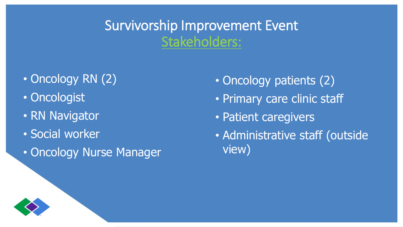Survivorship Improvement Event Stakeholders:

- Oncology RN (2)
- Oncologist
- RN Navigator
- Social worker
- Oncology Nurse Manager
- Oncology patients (2)
- Primary care clinic staff
- Patient caregivers
- Administrative staff (outside view)

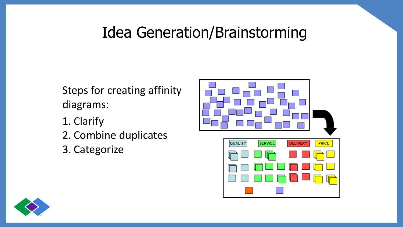## Idea Generation/Brainstorming

Steps for creating affinity diagrams:

- 1. Clarify
- 2. Combine duplicates
- 3. Categorize



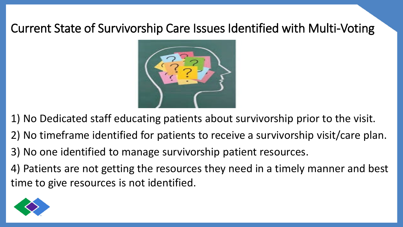#### Current State of Survivorship Care Issues Identified with Multi-Voting



1) No Dedicated staff educating patients about survivorship prior to the visit.

- 2) No timeframe identified for patients to receive a survivorship visit/care plan.
- 3) No one identified to manage survivorship patient resources.
- 4) Patients are not getting the resources they need in a timely manner and best time to give resources is not identified.

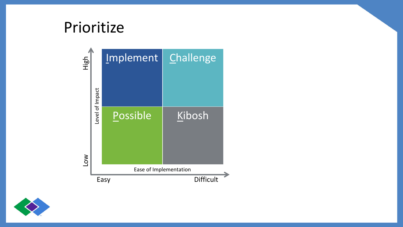## Prioritize



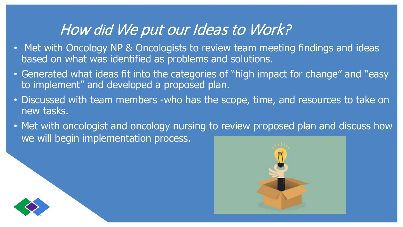## How did We put our Ideas to Work?

- Met with Oncology NP & Oncologists to review team meeting findings and ideas based on what was identified as problems and solutions.
- Generated what ideas fit into the categories of "high impact for change" and "easy to implement" and developed a proposed plan.
- Discussed with team members -who has the scope, time, and resources to take on new tasks.
- Met with oncologist and oncology nursing to review proposed plan and discuss how we will begin implementation process.



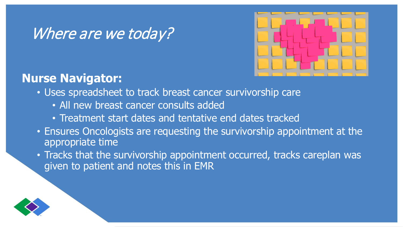## Where are we today?



#### **Nurse Navigator:**

- Uses spreadsheet to track breast cancer survivorship care
	- All new breast cancer consults added
	- Treatment start dates and tentative end dates tracked
- Ensures Oncologists are requesting the survivorship appointment at the appropriate time
- Tracks that the survivorship appointment occurred, tracks careplan was given to patient and notes this in EMR

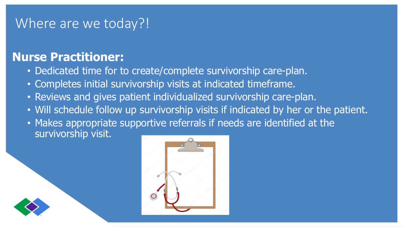#### Where are we today?!

#### **Nurse Practitioner:**

- Dedicated time for to create/complete survivorship care-plan.
- Completes initial survivorship visits at indicated timeframe.
- Reviews and gives patient individualized survivorship care-plan.
- Will schedule follow up survivorship visits if indicated by her or the patient.
- Makes appropriate supportive referrals if needs are identified at the survivorship visit.



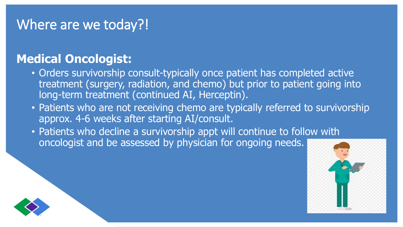#### Where are we today?!

#### **Medical Oncologist:**

- Orders survivorship consult-typically once patient has completed active treatment (surgery, radiation, and chemo) but prior to patient going into long-term treatment (continued AI, Herceptin).
- Patients who are not receiving chemo are typically referred to survivorship approx. 4-6 weeks after starting AI/consult.
- Patients who decline a survivorship appt will continue to follow with oncologist and be assessed by physician for ongoing needs.



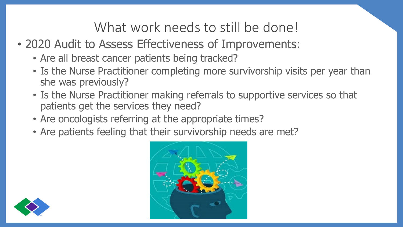### What work needs to still be done!

- 2020 Audit to Assess Effectiveness of Improvements:
	- Are all breast cancer patients being tracked?
	- Is the Nurse Practitioner completing more survivorship visits per year than she was previously?
	- Is the Nurse Practitioner making referrals to supportive services so that patients get the services they need?
	- Are oncologists referring at the appropriate times?
	- Are patients feeling that their survivorship needs are met?



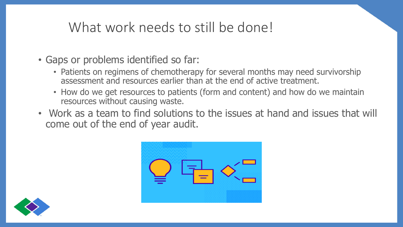## What work needs to still be done!

- Gaps or problems identified so far:
	- Patients on regimens of chemotherapy for several months may need survivorship assessment and resources earlier than at the end of active treatment.
	- How do we get resources to patients (form and content) and how do we maintain resources without causing waste.
- Work as a team to find solutions to the issues at hand and issues that will come out of the end of year audit.